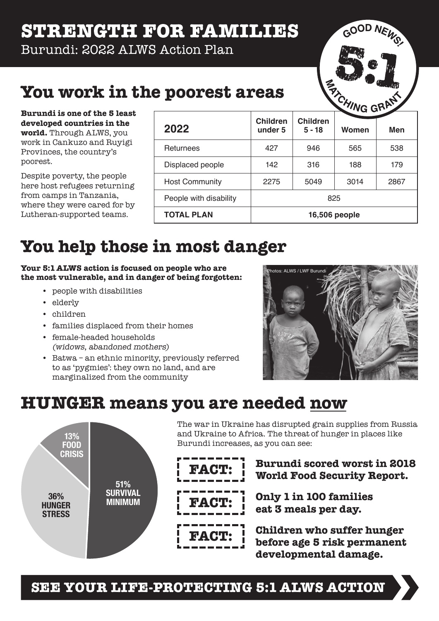### **STRENGTH FOR FAMILIES**

Burundi: 2022 ALWS Action Plan



### **You work in the poorest areas**

**Burundi is one of the 5 least developed countries in the world.** Through ALWS, you work in Cankuzo and Ruyigi Provinces, the country's poorest.

Despite poverty, the people here host refugees returning from camps in Tanzania, where they were cared for by Lutheran-supported teams.

|                        | <b>WG GML</b>              |                             |       |      |
|------------------------|----------------------------|-----------------------------|-------|------|
| 2022                   | <b>Children</b><br>under 5 | <b>Children</b><br>$5 - 18$ | Women | Men  |
| Returnees              | 427                        | 946                         | 565   | 538  |
| Displaced people       | 142                        | 316                         | 188   | 179  |
| <b>Host Community</b>  | 2275                       | 5049                        | 3014  | 2867 |
| People with disability | 825                        |                             |       |      |
| <b>TOTAL PLAN</b>      | 16,506 people              |                             |       |      |

# **You help those in most danger**

**Your 5:1 ALWS action is focused on people who are the most vulnerable, and in danger of being forgotten:**

- people with disabilities
- elderly
- children
- families displaced from their homes
- female-headed households (widows, abandoned mothers)
- Batwa an ethnic minority, previously referred to as 'pygmies': they own no land, and are marginalized from the community



### **HUNGER means you are needed now**



The war in Ukraine has disrupted grain supplies from Russia and Ukraine to Africa. The threat of hunger in places like Burundi increases, as you can see:

**FACT: Burundi scored worst in 2018 World Food Security Report.**

> **Only 1 in 100 families eat 3 meals per day.**

**Children who suffer hunger before age 5 risk permanent developmental damage.**

**FACT:**

**FACT:**